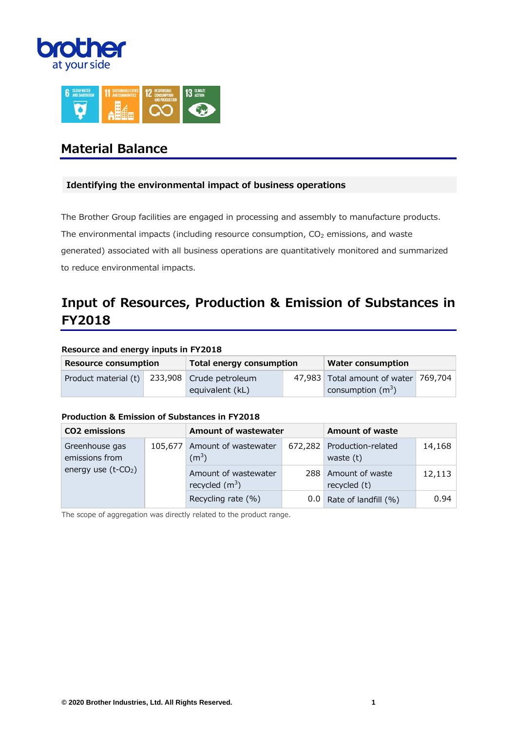



# **Material Balance**

# **Identifying the environmental impact of business operations**

The Brother Group facilities are engaged in processing and assembly to manufacture products. The environmental impacts (including resource consumption,  $CO<sub>2</sub>$  emissions, and waste generated) associated with all business operations are quantitatively monitored and summarized to reduce environmental impacts.

# **Input of Resources, Production & Emission of Substances in FY2018**

#### **Resource and energy inputs in FY2018**

| <b>Resource consumption</b> | Total energy consumption | <b>Water consumption</b>             |  |  |
|-----------------------------|--------------------------|--------------------------------------|--|--|
| Product material (t)        | 233,908 Crude petroleum  | 47,983 Total amount of water 769,704 |  |  |
|                             | equivalent (kL)          | consumption $(m^3)$                  |  |  |

#### **Production & Emission of Substances in FY2018**

| <b>CO2</b> emissions               |         | Amount of wastewater                      | <b>Amount of waste</b>                    |        |
|------------------------------------|---------|-------------------------------------------|-------------------------------------------|--------|
| Greenhouse gas<br>emissions from   | 105,677 | Amount of wastewater<br>(m <sup>3</sup> ) | 672,282 Production-related<br>waste $(t)$ | 14,168 |
| energy use $(t$ -CO <sub>2</sub> ) |         | Amount of wastewater<br>recycled $(m^3)$  | 288 Amount of waste<br>recycled (t)       | 12,113 |
|                                    |         | Recycling rate (%)                        | $0.0$ Rate of landfill (%)                | 0.94   |

The scope of aggregation was directly related to the product range.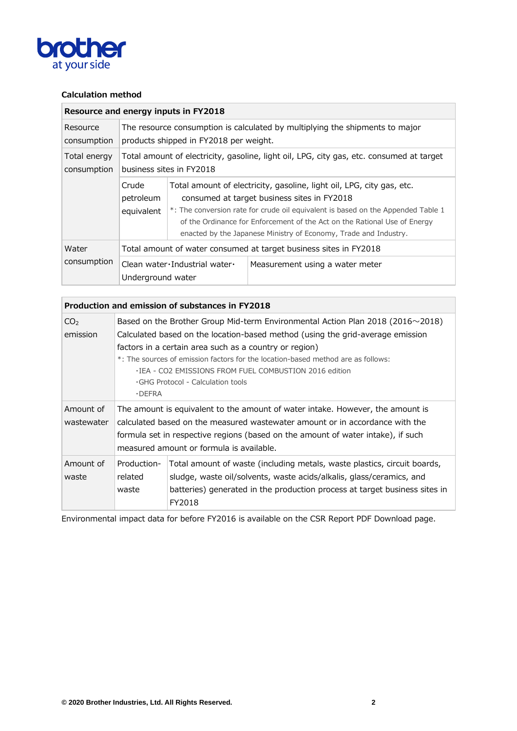

# **Calculation method**

|                             | Resource and energy inputs in FY2018                                                                                   |                                                                                                                                                                                                                                                                                                                                                           |                                 |  |  |  |
|-----------------------------|------------------------------------------------------------------------------------------------------------------------|-----------------------------------------------------------------------------------------------------------------------------------------------------------------------------------------------------------------------------------------------------------------------------------------------------------------------------------------------------------|---------------------------------|--|--|--|
| Resource<br>consumption     | The resource consumption is calculated by multiplying the shipments to major<br>products shipped in FY2018 per weight. |                                                                                                                                                                                                                                                                                                                                                           |                                 |  |  |  |
| Total energy<br>consumption | Total amount of electricity, gasoline, light oil, LPG, city gas, etc. consumed at target<br>business sites in FY2018   |                                                                                                                                                                                                                                                                                                                                                           |                                 |  |  |  |
|                             | Crude<br>petroleum<br>equivalent                                                                                       | Total amount of electricity, gasoline, light oil, LPG, city gas, etc.<br>consumed at target business sites in FY2018<br>*: The conversion rate for crude oil equivalent is based on the Appended Table 1<br>of the Ordinance for Enforcement of the Act on the Rational Use of Energy<br>enacted by the Japanese Ministry of Economy, Trade and Industry. |                                 |  |  |  |
| Water                       | Total amount of water consumed at target business sites in FY2018                                                      |                                                                                                                                                                                                                                                                                                                                                           |                                 |  |  |  |
| consumption                 | Underground water                                                                                                      | Clean water Industrial water $\cdot$                                                                                                                                                                                                                                                                                                                      | Measurement using a water meter |  |  |  |

|                             | Production and emission of substances in FY2018                                                                                                                                                                                                                                                                                                                                                                                               |                                                                                                                                                                                                                                          |  |  |  |
|-----------------------------|-----------------------------------------------------------------------------------------------------------------------------------------------------------------------------------------------------------------------------------------------------------------------------------------------------------------------------------------------------------------------------------------------------------------------------------------------|------------------------------------------------------------------------------------------------------------------------------------------------------------------------------------------------------------------------------------------|--|--|--|
| CO <sub>2</sub><br>emission | Based on the Brother Group Mid-term Environmental Action Plan 2018 (2016 $\sim$ 2018)<br>Calculated based on the location-based method (using the grid-average emission<br>factors in a certain area such as a country or region)<br>*: The sources of emission factors for the location-based method are as follows:<br>. IEA - CO2 EMISSIONS FROM FUEL COMBUSTION 2016 edition<br>$\cdot$ GHG Protocol - Calculation tools<br>$\cdot$ DEFRA |                                                                                                                                                                                                                                          |  |  |  |
| Amount of<br>wastewater     | The amount is equivalent to the amount of water intake. However, the amount is<br>calculated based on the measured wastewater amount or in accordance with the<br>formula set in respective regions (based on the amount of water intake), if such<br>measured amount or formula is available.                                                                                                                                                |                                                                                                                                                                                                                                          |  |  |  |
| Amount of<br>waste          | Production-<br>related<br>waste                                                                                                                                                                                                                                                                                                                                                                                                               | Total amount of waste (including metals, waste plastics, circuit boards,<br>sludge, waste oil/solvents, waste acids/alkalis, glass/ceramics, and<br>batteries) generated in the production process at target business sites in<br>FY2018 |  |  |  |

Environmental impact data for before FY2016 is available on the CSR Report PDF Download page.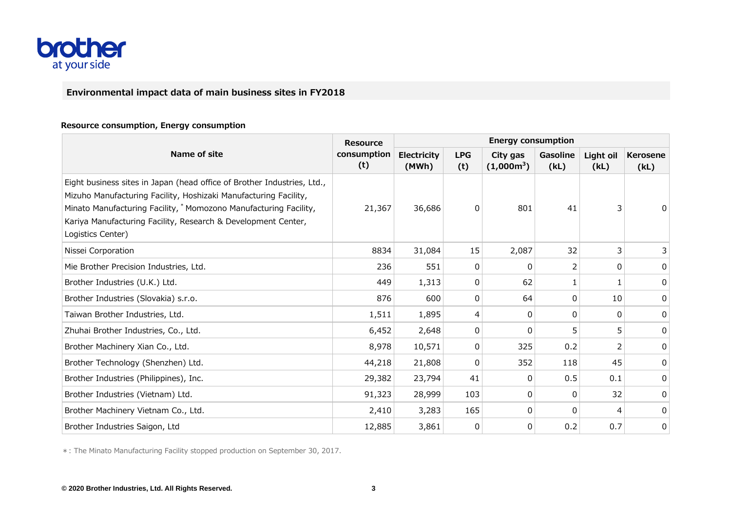

# **Environmental impact data of main business sites in FY2018**

#### **Resource consumption, Energy consumption**

|                                                                                                                                                                                                                                                                                                        | <b>Resource</b>    | <b>Energy consumption</b>   |                   |                          |                  |                   |                         |  |
|--------------------------------------------------------------------------------------------------------------------------------------------------------------------------------------------------------------------------------------------------------------------------------------------------------|--------------------|-----------------------------|-------------------|--------------------------|------------------|-------------------|-------------------------|--|
| Name of site                                                                                                                                                                                                                                                                                           | consumption<br>(t) | <b>Electricity</b><br>(MWh) | <b>LPG</b><br>(t) | City gas<br>$(1,000m^3)$ | Gasoline<br>(kL) | Light oil<br>(kL) | <b>Kerosene</b><br>(kL) |  |
| Eight business sites in Japan (head office of Brother Industries, Ltd.,<br>Mizuho Manufacturing Facility, Hoshizaki Manufacturing Facility,<br>Minato Manufacturing Facility, * Momozono Manufacturing Facility,<br>Kariya Manufacturing Facility, Research & Development Center,<br>Logistics Center) | 21,367             | 36,686                      | 0                 | 801                      | 41               | 3                 |                         |  |
| Nissei Corporation                                                                                                                                                                                                                                                                                     | 8834               | 31,084                      | 15                | 2,087                    | 32               | 3                 | 3                       |  |
| Mie Brother Precision Industries, Ltd.                                                                                                                                                                                                                                                                 | 236                | 551                         | $\Omega$          | $\Omega$                 | 2                | 0                 | 0                       |  |
| Brother Industries (U.K.) Ltd.                                                                                                                                                                                                                                                                         | 449                | 1,313                       | 0                 | 62                       |                  |                   | 0                       |  |
| Brother Industries (Slovakia) s.r.o.                                                                                                                                                                                                                                                                   | 876                | 600                         | 0                 | 64                       | 0                | 10                | 0                       |  |
| Taiwan Brother Industries, Ltd.                                                                                                                                                                                                                                                                        | 1,511              | 1,895                       | 4                 | $\Omega$                 | 0                | 0                 | 0                       |  |
| Zhuhai Brother Industries, Co., Ltd.                                                                                                                                                                                                                                                                   | 6,452              | 2,648                       | 0                 | 0                        | 5                | 5                 | 0                       |  |
| Brother Machinery Xian Co., Ltd.                                                                                                                                                                                                                                                                       | 8,978              | 10,571                      | 0                 | 325                      | 0.2              | フ                 | 0                       |  |
| Brother Technology (Shenzhen) Ltd.                                                                                                                                                                                                                                                                     | 44,218             | 21,808                      | 0                 | 352                      | 118              | 45                | 0                       |  |
| Brother Industries (Philippines), Inc.                                                                                                                                                                                                                                                                 | 29,382             | 23,794                      | 41                | $\Omega$                 | 0.5              | 0.1               | 0                       |  |
| Brother Industries (Vietnam) Ltd.                                                                                                                                                                                                                                                                      | 91,323             | 28,999                      | 103               | 0                        | 0                | 32                | 0                       |  |
| Brother Machinery Vietnam Co., Ltd.                                                                                                                                                                                                                                                                    | 2,410              | 3,283                       | 165               | $\Omega$                 | 0                | 4                 | 0                       |  |
| Brother Industries Saigon, Ltd                                                                                                                                                                                                                                                                         | 12,885             | 3,861                       | 0                 | 0                        | 0.2              | 0.7               | 0                       |  |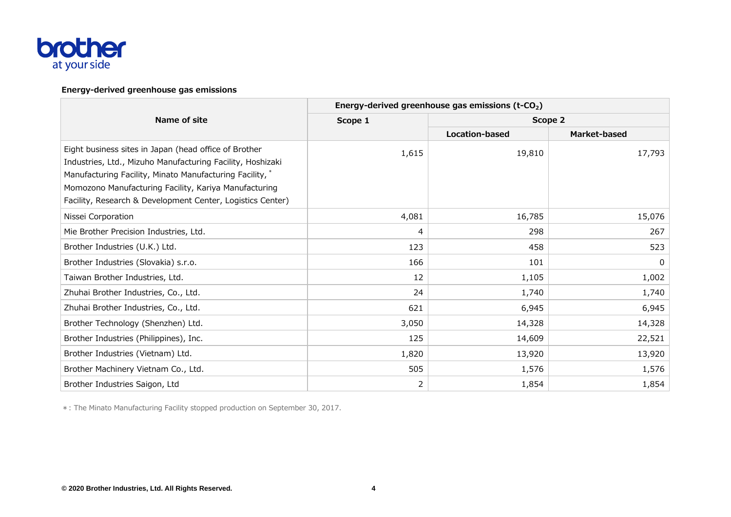

## **Energy-derived greenhouse gas emissions**

|                                                                                                                                                                                                                                                                                                        | Energy-derived greenhouse gas emissions (t-CO <sub>2</sub> ) |                       |              |  |  |  |  |
|--------------------------------------------------------------------------------------------------------------------------------------------------------------------------------------------------------------------------------------------------------------------------------------------------------|--------------------------------------------------------------|-----------------------|--------------|--|--|--|--|
| Name of site                                                                                                                                                                                                                                                                                           | Scope 1                                                      | Scope 2               |              |  |  |  |  |
|                                                                                                                                                                                                                                                                                                        |                                                              | <b>Location-based</b> | Market-based |  |  |  |  |
| Eight business sites in Japan (head office of Brother<br>Industries, Ltd., Mizuho Manufacturing Facility, Hoshizaki<br>Manufacturing Facility, Minato Manufacturing Facility, *<br>Momozono Manufacturing Facility, Kariya Manufacturing<br>Facility, Research & Development Center, Logistics Center) | 1,615                                                        | 19,810                | 17,793       |  |  |  |  |
| Nissei Corporation                                                                                                                                                                                                                                                                                     | 4,081                                                        | 16,785                | 15,076       |  |  |  |  |
| Mie Brother Precision Industries, Ltd.                                                                                                                                                                                                                                                                 | 4                                                            | 298                   | 267          |  |  |  |  |
| Brother Industries (U.K.) Ltd.                                                                                                                                                                                                                                                                         | 123                                                          | 458                   | 523          |  |  |  |  |
| Brother Industries (Slovakia) s.r.o.                                                                                                                                                                                                                                                                   | 166                                                          | 101                   | 0            |  |  |  |  |
| Taiwan Brother Industries, Ltd.                                                                                                                                                                                                                                                                        | 12                                                           | 1,105                 | 1,002        |  |  |  |  |
| Zhuhai Brother Industries, Co., Ltd.                                                                                                                                                                                                                                                                   | 24                                                           | 1,740                 | 1,740        |  |  |  |  |
| Zhuhai Brother Industries, Co., Ltd.                                                                                                                                                                                                                                                                   | 621                                                          | 6,945                 | 6,945        |  |  |  |  |
| Brother Technology (Shenzhen) Ltd.                                                                                                                                                                                                                                                                     | 3,050                                                        | 14,328                | 14,328       |  |  |  |  |
| Brother Industries (Philippines), Inc.                                                                                                                                                                                                                                                                 | 125                                                          | 14,609                | 22,521       |  |  |  |  |
| Brother Industries (Vietnam) Ltd.                                                                                                                                                                                                                                                                      | 1,820                                                        | 13,920                | 13,920       |  |  |  |  |
| Brother Machinery Vietnam Co., Ltd.                                                                                                                                                                                                                                                                    | 505                                                          | 1,576                 | 1,576        |  |  |  |  |
| Brother Industries Saigon, Ltd                                                                                                                                                                                                                                                                         | $\overline{2}$                                               | 1,854                 | 1,854        |  |  |  |  |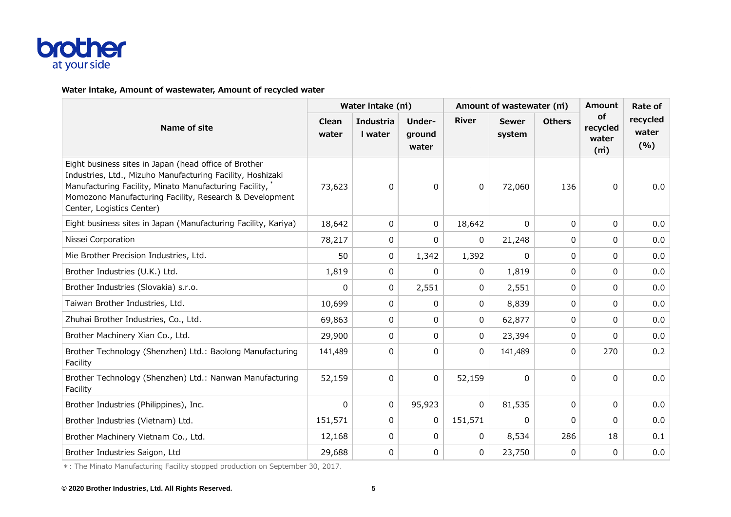

#### **Water intake, Amount of wastewater, Amount of recycled water**

|                                                                                                                                                                                                                                                                         | Water intake (m) |                      |                           |              | Amount of wastewater (m) | <b>Amount</b> | Rate of                        |                          |
|-------------------------------------------------------------------------------------------------------------------------------------------------------------------------------------------------------------------------------------------------------------------------|------------------|----------------------|---------------------------|--------------|--------------------------|---------------|--------------------------------|--------------------------|
| Name of site                                                                                                                                                                                                                                                            | Clean<br>water   | Industria<br>I water | Under-<br>ground<br>water | <b>River</b> | <b>Sewer</b><br>system   | <b>Others</b> | of<br>recycled<br>water<br>(m) | recycled<br>water<br>(%) |
| Eight business sites in Japan (head office of Brother<br>Industries, Ltd., Mizuho Manufacturing Facility, Hoshizaki<br>Manufacturing Facility, Minato Manufacturing Facility, *<br>Momozono Manufacturing Facility, Research & Development<br>Center, Logistics Center) | 73,623           | 0                    | 0                         | 0            | 72,060                   | 136           | 0                              | 0.0                      |
| Eight business sites in Japan (Manufacturing Facility, Kariya)                                                                                                                                                                                                          | 18,642           | 0                    | 0                         | 18,642       | 0                        | $\Omega$      | $\Omega$                       | 0.0                      |
| Nissei Corporation                                                                                                                                                                                                                                                      | 78,217           | 0                    | 0                         | 0            | 21,248                   | $\mathbf{0}$  | $\Omega$                       | 0.0                      |
| Mie Brother Precision Industries, Ltd.                                                                                                                                                                                                                                  | 50               | 0                    | 1,342                     | 1,392        | 0                        | 0             | 0                              | 0.0                      |
| Brother Industries (U.K.) Ltd.                                                                                                                                                                                                                                          | 1,819            | 0                    | 0                         | 0            | 1,819                    | 0             | 0                              | 0.0                      |
| Brother Industries (Slovakia) s.r.o.                                                                                                                                                                                                                                    | $\Omega$         | 0                    | 2,551                     | 0            | 2,551                    | 0             | 0                              | 0.0                      |
| Taiwan Brother Industries, Ltd.                                                                                                                                                                                                                                         | 10,699           | 0                    | 0                         | 0            | 8,839                    | 0             | 0                              | 0.0                      |
| Zhuhai Brother Industries, Co., Ltd.                                                                                                                                                                                                                                    | 69,863           | 0                    | 0                         | 0            | 62,877                   | 0             | 0                              | 0.0                      |
| Brother Machinery Xian Co., Ltd.                                                                                                                                                                                                                                        | 29,900           | 0                    | 0                         | 0            | 23,394                   | 0             | $\Omega$                       | 0.0                      |
| Brother Technology (Shenzhen) Ltd.: Baolong Manufacturing<br>Facility                                                                                                                                                                                                   | 141,489          | $\mathbf{0}$         | 0                         | $\Omega$     | 141,489                  | 0             | 270                            | 0.2                      |
| Brother Technology (Shenzhen) Ltd.: Nanwan Manufacturing<br>Facility                                                                                                                                                                                                    | 52,159           | 0                    | $\mathsf{O}$              | 52,159       | 0                        | $\Omega$      | $\Omega$                       | 0.0                      |
| Brother Industries (Philippines), Inc.                                                                                                                                                                                                                                  | $\mathbf{0}$     | 0                    | 95,923                    | $\Omega$     | 81,535                   | $\Omega$      | 0                              | 0.0                      |
| Brother Industries (Vietnam) Ltd.                                                                                                                                                                                                                                       | 151,571          | $\pmb{0}$            | 0                         | 151,571      | 0                        | $\Omega$      | 0                              | 0.0                      |
| Brother Machinery Vietnam Co., Ltd.                                                                                                                                                                                                                                     | 12,168           | 0                    | $\mathbf{0}$              | 0            | 8,534                    | 286           | 18                             | 0.1                      |
| Brother Industries Saigon, Ltd                                                                                                                                                                                                                                          | 29,688           | 0                    | 0                         | 0            | 23,750                   | 0             | 0                              | 0.0                      |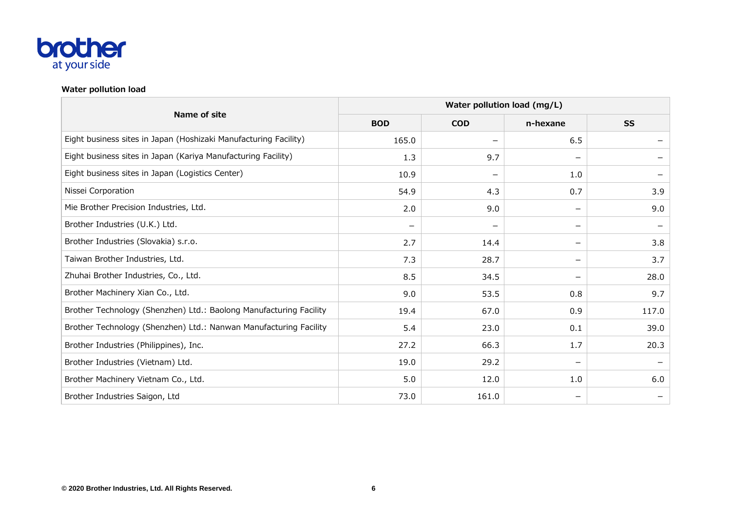

## **Water pollution load**

| Name of site                                                       | Water pollution load (mg/L) |                          |                          |           |  |  |  |
|--------------------------------------------------------------------|-----------------------------|--------------------------|--------------------------|-----------|--|--|--|
|                                                                    | <b>BOD</b>                  | <b>COD</b>               | n-hexane                 | <b>SS</b> |  |  |  |
| Eight business sites in Japan (Hoshizaki Manufacturing Facility)   | 165.0                       | —                        | 6.5                      |           |  |  |  |
| Eight business sites in Japan (Kariya Manufacturing Facility)      | 1.3                         | 9.7                      | -                        |           |  |  |  |
| Eight business sites in Japan (Logistics Center)                   | 10.9                        | $\overline{\phantom{m}}$ | 1.0                      |           |  |  |  |
| Nissei Corporation                                                 | 54.9                        | 4.3                      | 0.7                      | 3.9       |  |  |  |
| Mie Brother Precision Industries, Ltd.                             | 2.0                         | 9.0                      | —                        | 9.0       |  |  |  |
| Brother Industries (U.K.) Ltd.                                     |                             |                          | $\overline{\phantom{m}}$ |           |  |  |  |
| Brother Industries (Slovakia) s.r.o.                               | 2.7                         | 14.4                     | $\overline{\phantom{m}}$ | 3.8       |  |  |  |
| Taiwan Brother Industries, Ltd.                                    | 7.3                         | 28.7                     | —                        | 3.7       |  |  |  |
| Zhuhai Brother Industries, Co., Ltd.                               | 8.5                         | 34.5                     |                          | 28.0      |  |  |  |
| Brother Machinery Xian Co., Ltd.                                   | 9.0                         | 53.5                     | 0.8                      | 9.7       |  |  |  |
| Brother Technology (Shenzhen) Ltd.: Baolong Manufacturing Facility | 19.4                        | 67.0                     | 0.9                      | 117.0     |  |  |  |
| Brother Technology (Shenzhen) Ltd.: Nanwan Manufacturing Facility  | 5.4                         | 23.0                     | 0.1                      | 39.0      |  |  |  |
| Brother Industries (Philippines), Inc.                             | 27.2                        | 66.3                     | 1.7                      | 20.3      |  |  |  |
| Brother Industries (Vietnam) Ltd.                                  | 19.0                        | 29.2                     | $\overline{\phantom{m}}$ |           |  |  |  |
| Brother Machinery Vietnam Co., Ltd.                                | 5.0                         | 12.0                     | 1.0                      | 6.0       |  |  |  |
| Brother Industries Saigon, Ltd                                     | 73.0                        | 161.0                    |                          |           |  |  |  |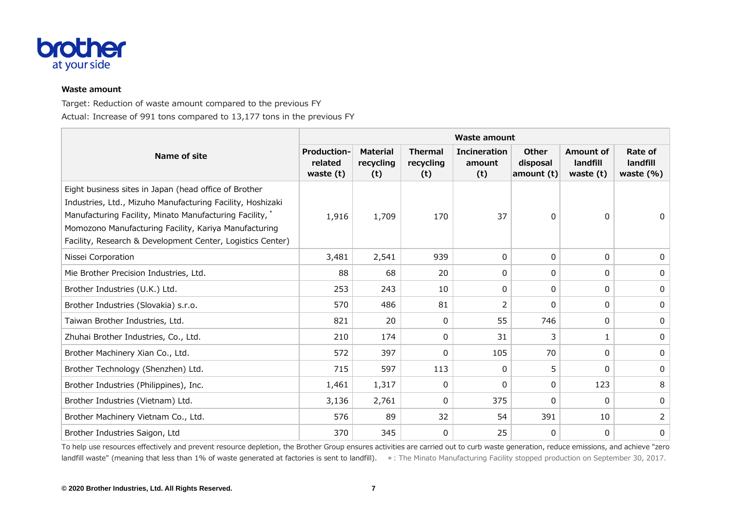

#### **Waste amount**

Target: Reduction of waste amount compared to the previous FY Actual: Increase of 991 tons compared to 13,177 tons in the previous FY

|                                                                                                                                                                                                                                                                                                        | <b>Waste amount</b>                        |                                     |                                    |                                      |                                        |                                    |                                      |  |  |
|--------------------------------------------------------------------------------------------------------------------------------------------------------------------------------------------------------------------------------------------------------------------------------------------------------|--------------------------------------------|-------------------------------------|------------------------------------|--------------------------------------|----------------------------------------|------------------------------------|--------------------------------------|--|--|
| Name of site                                                                                                                                                                                                                                                                                           | <b>Production-</b><br>related<br>waste (t) | <b>Material</b><br>recycling<br>(t) | <b>Thermal</b><br>recycling<br>(t) | <b>Incineration</b><br>amount<br>(t) | <b>Other</b><br>disposal<br>amount (t) | Amount of<br>landfill<br>waste (t) | Rate of<br>landfill<br>waste $(\% )$ |  |  |
| Eight business sites in Japan (head office of Brother<br>Industries, Ltd., Mizuho Manufacturing Facility, Hoshizaki<br>Manufacturing Facility, Minato Manufacturing Facility, *<br>Momozono Manufacturing Facility, Kariya Manufacturing<br>Facility, Research & Development Center, Logistics Center) | 1,916                                      | 1,709                               | 170                                | 37                                   | 0                                      | 0                                  | 0                                    |  |  |
| Nissei Corporation                                                                                                                                                                                                                                                                                     | 3,481                                      | 2,541                               | 939                                | 0                                    | 0                                      | 0                                  | 0                                    |  |  |
| Mie Brother Precision Industries, Ltd.                                                                                                                                                                                                                                                                 | 88                                         | 68                                  | 20                                 | 0                                    | 0                                      | 0                                  | 0                                    |  |  |
| Brother Industries (U.K.) Ltd.                                                                                                                                                                                                                                                                         | 253                                        | 243                                 | 10                                 | 0                                    | 0                                      | 0                                  | 0                                    |  |  |
| Brother Industries (Slovakia) s.r.o.                                                                                                                                                                                                                                                                   | 570                                        | 486                                 | 81                                 | 2                                    | 0                                      | 0                                  | 0                                    |  |  |
| Taiwan Brother Industries, Ltd.                                                                                                                                                                                                                                                                        | 821                                        | 20                                  | 0                                  | 55                                   | 746                                    | 0                                  | 0                                    |  |  |
| Zhuhai Brother Industries, Co., Ltd.                                                                                                                                                                                                                                                                   | 210                                        | 174                                 | 0                                  | 31                                   | 3                                      |                                    | 0                                    |  |  |
| Brother Machinery Xian Co., Ltd.                                                                                                                                                                                                                                                                       | 572                                        | 397                                 | 0                                  | 105                                  | 70                                     | 0                                  | 0                                    |  |  |
| Brother Technology (Shenzhen) Ltd.                                                                                                                                                                                                                                                                     | 715                                        | 597                                 | 113                                | 0                                    | 5                                      | 0                                  | 0                                    |  |  |
| Brother Industries (Philippines), Inc.                                                                                                                                                                                                                                                                 | 1,461                                      | 1,317                               | 0                                  | 0                                    | 0                                      | 123                                | 8                                    |  |  |
| Brother Industries (Vietnam) Ltd.                                                                                                                                                                                                                                                                      | 3,136                                      | 2,761                               | 0                                  | 375                                  | 0                                      | $\Omega$                           | 0                                    |  |  |
| Brother Machinery Vietnam Co., Ltd.                                                                                                                                                                                                                                                                    | 576                                        | 89                                  | 32                                 | 54                                   | 391                                    | 10                                 | 2                                    |  |  |
| Brother Industries Saigon, Ltd                                                                                                                                                                                                                                                                         | 370                                        | 345                                 | 0                                  | 25                                   | 0                                      | 0                                  | 0                                    |  |  |

To help use resources effectively and prevent resource depletion, the Brother Group ensures activities are carried out to curb waste generation, reduce emissions, and achieve "zero landfill waste" (meaning that less than 1% of waste generated at factories is sent to landfill). \*: The Minato Manufacturing Facility stopped production on September 30, 2017.